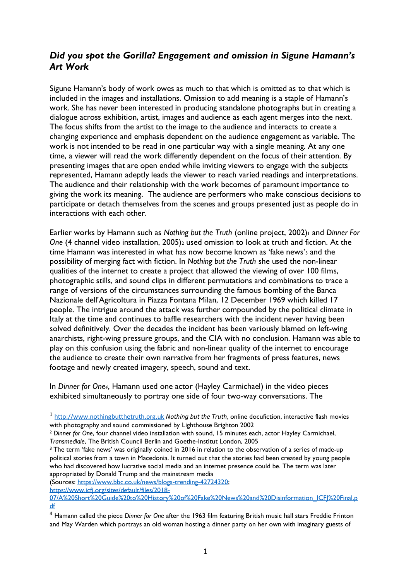## *Did you spot the Gorilla? Engagement and omission in Sigune Hamann's Art Work*

Sigune Hamann's body of work owes as much to that which is omitted as to that which is included in the images and installations. Omission to add meaning is a staple of Hamann's work. She has never been interested in producing standalone photographs but in creating a dialogue across exhibition, artist, images and audience as each agent merges into the next. The focus shifts from the artist to the image to the audience and interacts to create a changing experience and emphasis dependent on the audience engagement as variable. The work is not intended to be read in one particular way with a single meaning. At any one time, a viewer will read the work differently dependent on the focus of their attention. By presenting images that are open ended while inviting viewers to engage with the subjects represented, Hamann adeptly leads the viewer to reach varied readings and interpretations. The audience and their relationship with the work becomes of paramount importance to giving the work its meaning. The audience are performers who make conscious decisions to participate or detach themselves from the scenes and groups presented just as people do in interactions with each other.

Earlier works by Hamann such as *Nothing but the Truth* (online project, 2002)<sup>1</sup> and *Dinner For One* (4 channel video installation, 2005)<sup>2</sup> used omission to look at truth and fiction. At the time Hamann was interested in what has now become known as 'fake news'<sup>3</sup> and the possibility of merging fact with fiction. In *Nothing but the Truth* she used the non-linear qualities of the internet to create a project that allowed the viewing of over 100 films, photographic stills, and sound clips in different permutations and combinations to trace a range of versions of the circumstances surrounding the famous bombing of the Banca Nazionale dell'Agricoltura in Piazza Fontana Milan, 12 December 1969 which killed 17 people. The intrigue around the attack was further compounded by the political climate in Italy at the time and continues to baffle researchers with the incident never having been solved definitively. Over the decades the incident has been variously blamed on left-wing anarchists, right-wing pressure groups, and the CIA with no conclusion. Hamann was able to play on this confusion using the fabric and non-linear quality of the internet to encourage the audience to create their own narrative from her fragments of press features, news footage and newly created imagery, speech, sound and text.

In *Dinner for One4*, Hamann used one actor (Hayley Carmichael) in the video pieces exhibited simultaneously to portray one side of four two-way conversations. The

<sup>&</sup>lt;sup>1</sup> [http://www.nothingbutthetruth.org.uk](http://www.nothingbutthetruth.org.uk/) *Nothing but the Truth,* online docufiction, interactive flash movies with photography and sound commissioned by Lighthouse Brighton 2002

<sup>2</sup> *Dinner for One*, four channel video installation with sound, 15 minutes each, actor Hayley Carmichael, *Transmediale*, The British Council Berlin and Goethe-Institut London, 2005

<sup>&</sup>lt;sup>3</sup> The term 'fake news' was originally coined in 2016 in relation to the observation of a series of made-up political stories from a town in Macedonia. It turned out that the stories had been created by young people who had discovered how lucrative social media and an internet presence could be. The term was later appropriated by Donald Trump and the mainstream media

<sup>(</sup>Sources: [https://www.bbc.co.uk/news/blogs-trending-42724320;](https://www.bbc.co.uk/news/blogs-trending-42724320) [https://www.icfj.org/sites/default/files/2018-](https://www.icfj.org/sites/default/files/2018-07/A%20Short%20Guide%20to%20History%20of%20Fake%20News%20and%20Disinformation_ICFJ%20Final.pdf)

[<sup>07/</sup>A%20Short%20Guide%20to%20History%20of%20Fake%20News%20and%20Disinformation\\_ICFJ%20Final.p](https://www.icfj.org/sites/default/files/2018-07/A%20Short%20Guide%20to%20History%20of%20Fake%20News%20and%20Disinformation_ICFJ%20Final.pdf) [df](https://www.icfj.org/sites/default/files/2018-07/A%20Short%20Guide%20to%20History%20of%20Fake%20News%20and%20Disinformation_ICFJ%20Final.pdf)

<sup>4</sup> Hamann called the piece *Dinner for One* after the 1963 film featuring British music hall stars Freddie Frinton and May Warden which portrays an old woman hosting a dinner party on her own with imaginary guests of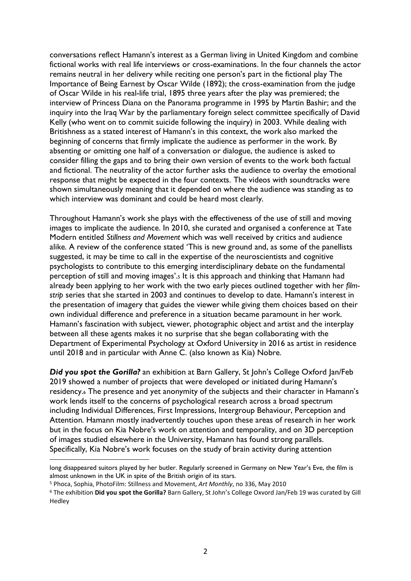conversations reflect Hamann's interest as a German living in United Kingdom and combine fictional works with real life interviews or cross-examinations. In the four channels the actor remains neutral in her delivery while reciting one person's part in the fictional play The Importance of Being Earnest by Oscar Wilde (1892); the cross-examination from the judge of Oscar Wilde in his real-life trial, 1895 three years after the play was premiered; the interview of Princess Diana on the Panorama programme in 1995 by Martin Bashir; and the inquiry into the Iraq War by the parliamentary foreign select committee specifically of David Kelly (who went on to commit suicide following the inquiry) in 2003. While dealing with Britishness as a stated interest of Hamann's in this context, the work also marked the beginning of concerns that firmly implicate the audience as performer in the work. By absenting or omitting one half of a conversation or dialogue, the audience is asked to consider filling the gaps and to bring their own version of events to the work both factual and fictional. The neutrality of the actor further asks the audience to overlay the emotional response that might be expected in the four contexts. The videos with soundtracks were shown simultaneously meaning that it depended on where the audience was standing as to which interview was dominant and could be heard most clearly.

Throughout Hamann's work she plays with the effectiveness of the use of still and moving images to implicate the audience. In 2010, she curated and organised a conference at Tate Modern entitled *Stillness and Movement* which was well received by critics and audience alike. A review of the conference stated 'This is new ground and, as some of the panellists suggested, it may be time to call in the expertise of the neuroscientists and cognitive psychologists to contribute to this emerging interdisciplinary debate on the fundamental perception of still and moving images'.<sup>5</sup> It is this approach and thinking that Hamann had already been applying to her work with the two early pieces outlined together with her *filmstrip* series that she started in 2003 and continues to develop to date. Hamann's interest in the presentation of imagery that guides the viewer while giving them choices based on their own individual difference and preference in a situation became paramount in her work. Hamann's fascination with subject, viewer, photographic object and artist and the interplay between all these agents makes it no surprise that she began collaborating with the Department of Experimental Psychology at Oxford University in 2016 as artist in residence until 2018 and in particular with Anne C. (also known as Kia) Nobre.

*Did you spot the Gorilla?* an exhibition at Barn Gallery, St John's College Oxford Jan/Feb 2019 showed a number of projects that were developed or initiated during Hamann's residency.<sup>6</sup> The presence and yet anonymity of the subjects and their character in Hamann's work lends itself to the concerns of psychological research across a broad spectrum including Individual Differences, First Impressions, Intergroup Behaviour, Perception and Attention. Hamann mostly inadvertently touches upon these areas of research in her work but in the focus on Kia Nobre's work on attention and temporality, and on 3D perception of images studied elsewhere in the University, Hamann has found strong parallels. Specifically, Kia Nobre's work focuses on the study of brain activity during attention

long disappeared suitors played by her butler. Regularly screened in Germany on New Year's Eve, the film is almost unknown in the UK in spite of the British origin of its stars.

<sup>5</sup> Phoca, Sophia, PhotoFilm: Stillness and Movement, *Art Monthly*, no 336, May 2010

<sup>6</sup> The exhibition **Did you spot the Gorilla?** Barn Gallery, St John's College Oxvord Jan/Feb 19 was curated by Gill Hedley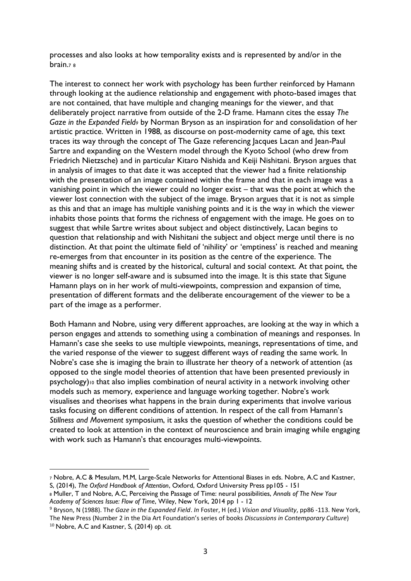processes and also looks at how temporality exists and is represented by and/or in the brain.<sup>7</sup> <sup>8</sup>

The interest to connect her work with psychology has been further reinforced by Hamann through looking at the audience relationship and engagement with photo-based images that are not contained, that have multiple and changing meanings for the viewer, and that deliberately project narrative from outside of the 2-D frame. Hamann cites the essay *The Gaze in the Expanded Field<sup>9</sup>* by Norman Bryson as an inspiration for and consolidation of her artistic practice. Written in 1988, as discourse on post-modernity came of age, this text traces its way through the concept of The Gaze referencing Jacques Lacan and Jean-Paul Sartre and expanding on the Western model through the Kyoto School (who drew from Friedrich Nietzsche) and in particular Kitaro Nishida and Keiji Nishitani. Bryson argues that in analysis of images to that date it was accepted that the viewer had a finite relationship with the presentation of an image contained within the frame and that in each image was a vanishing point in which the viewer could no longer exist – that was the point at which the viewer lost connection with the subject of the image. Bryson argues that it is not as simple as this and that an image has multiple vanishing points and it is the way in which the viewer inhabits those points that forms the richness of engagement with the image. He goes on to suggest that while Sartre writes about subject and object distinctively, Lacan begins to question that relationship and with Nishitani the subject and object merge until there is no distinction. At that point the ultimate field of 'nihility' or 'emptiness' is reached and meaning re-emerges from that encounter in its position as the centre of the experience. The meaning shifts and is created by the historical, cultural and social context. At that point, the viewer is no longer self-aware and is subsumed into the image. It is this state that Sigune Hamann plays on in her work of multi-viewpoints, compression and expansion of time, presentation of different formats and the deliberate encouragement of the viewer to be a part of the image as a performer.

Both Hamann and Nobre, using very different approaches, are looking at the way in which a person engages and attends to something using a combination of meanings and responses. In Hamann's case she seeks to use multiple viewpoints, meanings, representations of time, and the varied response of the viewer to suggest different ways of reading the same work. In Nobre's case she is imaging the brain to illustrate her theory of a network of attention (as opposed to the single model theories of attention that have been presented previously in psychology)<sup>10</sup> that also implies combination of neural activity in a network involving other models such as memory, experience and language working together. Nobre's work visualises and theorises what happens in the brain during experiments that involve various tasks focusing on different conditions of attention. In respect of the call from Hamann's *Stillness and Movement* symposium, it asks the question of whether the conditions could be created to look at attention in the context of neuroscience and brain imaging while engaging with work such as Hamann's that encourages multi-viewpoints.

<sup>7</sup> Nobre, A.C & Mesulam, M.M, Large-Scale Networks for Attentional Biases in eds. Nobre, A.C and Kastner, S, (2014), *The Oxford Handbook of Attention*, Oxford, Oxford University Press pp105 - 151

<sup>8</sup> Muller, T and Nobre, A.C, Perceiving the Passage of Time: neural possibilities, *Annals of The New Your Academy of Sciences Issue: Flow of Time*, Wiley, New York, 2014 pp 1 - 12

<sup>9</sup> Bryson, N (1988). Th*e Gaze in the Expanded Field*. *In* Foster, H (ed.) *Vision and Visuality*, pp86 -113. New York, The New Press (Number 2 in the Dia Art Foundation's series of books *Discussions in Contemporary Culture*) <sup>10</sup> Nobre, A.C and Kastner, S, (2014) *op. cit.*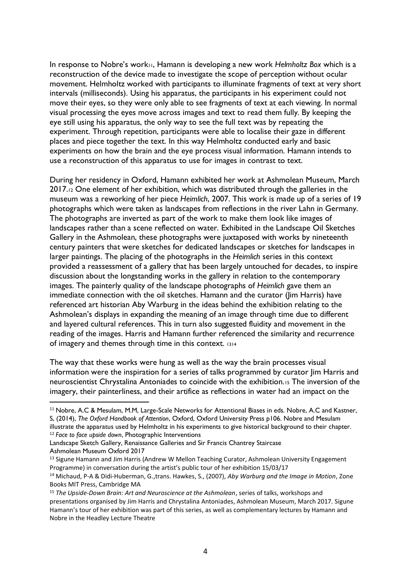In response to Nobre's work11, Hamann is developing a new work *Helmholtz Box* which is a reconstruction of the device made to investigate the scope of perception without ocular movement. Helmholtz worked with participants to illuminate fragments of text at very short intervals (milliseconds). Using his apparatus, the participants in his experiment could not move their eyes, so they were only able to see fragments of text at each viewing. In normal visual processing the eyes move across images and text to read them fully. By keeping the eye still using his apparatus, the only way to see the full text was by repeating the experiment. Through repetition, participants were able to localise their gaze in different places and piece together the text. In this way Helmholtz conducted early and basic experiments on how the brain and the eye process visual information. Hamann intends to use a reconstruction of this apparatus to use for images in contrast to text.

During her residency in Oxford, Hamann exhibited her work at Ashmolean Museum, March 2017.<sup>12</sup> One element of her exhibition, which was distributed through the galleries in the museum was a reworking of her piece *Heimlich*, 2007. This work is made up of a series of 19 photographs which were taken as landscapes from reflections in the river Lahn in Germany. The photographs are inverted as part of the work to make them look like images of landscapes rather than a scene reflected on water. Exhibited in the Landscape Oil Sketches Gallery in the Ashmolean, these photographs were juxtaposed with works by nineteenth century painters that were sketches for dedicated landscapes or sketches for landscapes in larger paintings. The placing of the photographs in the *Heimlich* series in this context provided a reassessment of a gallery that has been largely untouched for decades, to inspire discussion about the longstanding works in the gallery in relation to the contemporary images. The painterly quality of the landscape photographs of *Heimlich* gave them an immediate connection with the oil sketches. Hamann and the curator (Jim Harris) have referenced art historian Aby Warburg in the ideas behind the exhibition relating to the Ashmolean's displays in expanding the meaning of an image through time due to different and layered cultural references. This in turn also suggested fluidity and movement in the reading of the images. Harris and Hamann further referenced the similarity and recurrence of imagery and themes through time in this context. <sup>1314</sup>

The way that these works were hung as well as the way the brain processes visual information were the inspiration for a series of talks programmed by curator Jim Harris and neuroscientist Chrystalina Antoniades to coincide with the exhibition.<sup>15</sup> The inversion of the imagery, their painterliness, and their artifice as reflections in water had an impact on the

<sup>11</sup> Nobre, A.C & Mesulam, M.M, Large-Scale Networks for Attentional Biases in eds. Nobre, A.C and Kastner, S, (2014), *The Oxford Handbook of Attention*, Oxford, Oxford University Press p106. Nobre and Mesulam illustrate the apparatus used by Helmholtz in his experiments to give historical background to their chapter. <sup>12</sup> *Face to face upside down*, Photographic Interventions

Landscape Sketch Gallery, Renaissance Galleries and Sir Francis Chantrey Staircase Ashmolean Museum Oxford 2017

<sup>&</sup>lt;sup>13</sup> Sigune Hamann and Jim Harris (Andrew W Mellon Teaching Curator, Ashmolean University Engagement Programme) in conversation during the artist's public tour of her exhibition 15/03/17

<sup>14</sup> Michaud, P-A & Didi-Huberman, G.,trans. Hawkes, S., (2007), *Aby Warburg and the Image in Motion*, Zone Books MIT Press, Cambridge MA

<sup>15</sup> *The Upside-Down Brain: Art and Neuroscience at the Ashmolean*, series of talks, workshops and presentations organised by Jim Harris and Chrystalina Antoniades, Ashmolean Museum, March 2017. Sigune Hamann's tour of her exhibition was part of this series, as well as complementary lectures by Hamann and Nobre in the Headley Lecture Theatre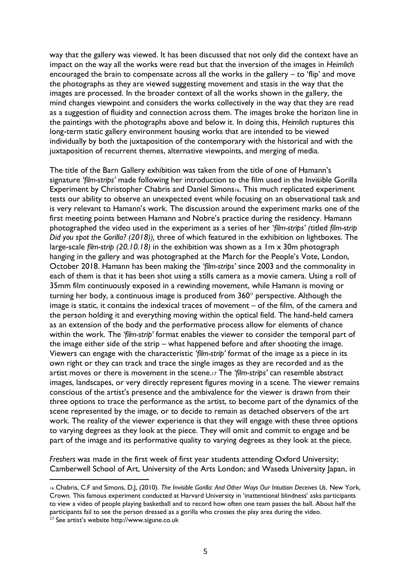way that the gallery was viewed. It has been discussed that not only did the context have an impact on the way all the works were read but that the inversion of the images in *Heimlich* encouraged the brain to compensate across all the works in the gallery – to 'flip' and move the photographs as they are viewed suggesting movement and stasis in the way that the images are processed. In the broader context of all the works shown in the gallery, the mind changes viewpoint and considers the works collectively in the way that they are read as a suggestion of fluidity and connection across them. The images broke the horizon line in the paintings with the photographs above and below it. In doing this, *Heimlich* ruptures this long-term static gallery environment housing works that are intended to be viewed individually by both the juxtaposition of the contemporary with the historical and with the juxtaposition of recurrent themes, alternative viewpoints, and merging of media.

The title of the Barn Gallery exhibition was taken from the title of one of Hamann's signature *'film-strips'* made following her introduction to the film used in the Invisible Gorilla Experiment by Christopher Chabris and Daniel Simons16. This much replicated experiment tests our ability to observe an unexpected event while focusing on an observational task and is very relevant to Hamann's work. The discussion around the experiment marks one of the first meeting points between Hamann and Nobre's practice during the residency. Hamann photographed the video used in the experiment as a series of her '*film-strips' (*titled *film-strip Did you spot the Gorilla? (2018)),* three of which featured in the exhibition on lightboxes. The large-scale *film-strip (20.10.18)* in the exhibition was shown as a 1m x 30m photograph hanging in the gallery and was photographed at the March for the People's Vote, London, October 2018. Hamann has been making the *'film-strips'* since 2003 and the commonality in each of them is that it has been shot using a stills camera as a movie camera. Using a roll of 35mm film continuously exposed in a rewinding movement, while Hamann is moving or turning her body, a continuous image is produced from  $360^\circ$  perspective. Although the image is static, it contains the indexical traces of movement – of the film, of the camera and the person holding it and everything moving within the optical field. The hand-held camera as an extension of the body and the performative process allow for elements of chance within the work. The *'film-strip'* format enables the viewer to consider the temporal part of the image either side of the strip – what happened before and after shooting the image. Viewers can engage with the characteristic *'film-strip'* format of the image as a piece in its own right or they can track and trace the single images as they are recorded and as the artist moves or there is movement in the scene.<sup>17</sup> The *'film-strips'* can resemble abstract images, landscapes, or very directly represent figures moving in a scene. The viewer remains conscious of the artist's presence and the ambivalence for the viewer is drawn from their three options to trace the performance as the artist, to become part of the dynamics of the scene represented by the image, or to decide to remain as detached observers of the art work. The reality of the viewer experience is that they will engage with these three options to varying degrees as they look at the piece. They will omit and commit to engage and be part of the image and its performative quality to varying degrees as they look at the piece.

*Freshers* was made in the first week of first year students attending Oxford University; Camberwell School of Art, University of the Arts London; and Waseda University Japan, in

<sup>16</sup> Chabris, C.F and Simons, D.J, (2010). *The Invisible Gorilla: And Other Ways Our Intuition Deceives Us*. New York, Crown. This famous experiment conducted at Harvard University in 'inattentional blindness' asks participants to view a video of people playing basketball and to record how often one team passes the ball. About half the participants fail to see the person dressed as a gorilla who crosses the play area during the video.

<sup>&</sup>lt;sup>17</sup> See artist's website http://www.sigune.co.uk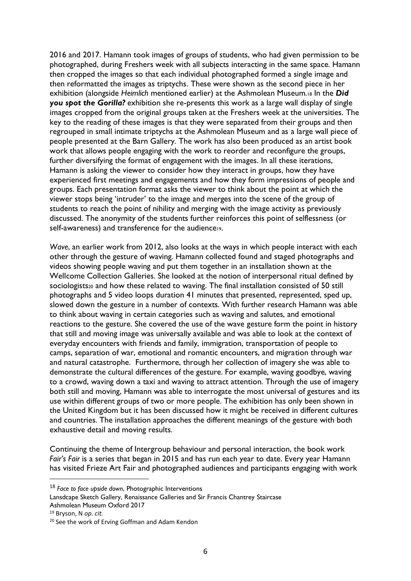2016 and 2017. Hamann took images of groups of students, who had given permission to be photographed, during Freshers week with all subjects interacting in the same space. Hamann then cropped the images so that each individual photographed formed a single image and then reformatted the images as triptychs. These were shown as the second piece in her exhibition (alongside *Heimlich* mentioned earlier) at the Ashmolean Museum.<sup>18</sup> In the *Did you spot the Gorilla?* exhibition she re-presents this work as a large wall display of single images cropped from the original groups taken at the Freshers week at the universities. The key to the reading of these images is that they were separated from their groups and then regrouped in small intimate triptychs at the Ashmolean Museum and as a large wall piece of people presented at the Barn Gallery. The work has also been produced as an artist book work that allows people engaging with the work to reorder and reconfigure the groups, further diversifying the format of engagement with the images. In all these iterations, Hamann is asking the viewer to consider how they interact in groups, how they have experienced first meetings and engagements and how they form impressions of people and groups. Each presentation format asks the viewer to think about the point at which the viewer stops being 'intruder' to the image and merges into the scene of the group of students to reach the point of nihility and merging with the image activity as previously discussed. The anonymity of the students further reinforces this point of selflessness (or self-awareness) and transference for the audience<sup>19</sup>.

*Wave*, an earlier work from 2012, also looks at the ways in which people interact with each other through the gesture of waving. Hamann collected found and staged photographs and videos showing people waving and put them together in an installation shown at the Wellcome Collection Galleries. She looked at the notion of interpersonal ritual defined by sociologists<sub>20</sub> and how these related to waving. The final installation consisted of 50 still photographs and 5 video loops duration 41 minutes that presented, represented, sped up, slowed down the gesture in a number of contexts. With further research Hamann was able to think about waving in certain categories such as waving and salutes, and emotional reactions to the gesture. She covered the use of the wave gesture form the point in history that still and moving image was universally available and was able to look at the context of everyday encounters with friends and family, immigration, transportation of people to camps, separation of war, emotional and romantic encounters, and migration through war and natural catastrophe. Furthermore, through her collection of imagery she was able to demonstrate the cultural differences of the gesture. For example, waving goodbye, waving to a crowd, waving down a taxi and waving to attract attention. Through the use of imagery both still and moving, Hamann was able to interrogate the most universal of gestures and its use within different groups of two or more people. The exhibition has only been shown in the United Kingdom but it has been discussed how it might be received in different cultures and countries. The installation approaches the different meanings of the gesture with both exhaustive detail and moving results.

Continuing the theme of Intergroup behaviour and personal interaction, the book work *Fair's Fair* is a series that began in 2015 and has run each year to date. Every year Hamann has visited Frieze Art Fair and photographed audiences and participants engaging with work

<sup>18</sup> *Face to face upside down*, Photographic Interventions

Lansdcape Sketch Gallery, Renaissance Galleries and Sir Francis Chantrey Staircase Ashmolean Museum Oxford 2017

<sup>19</sup> Bryson, N *op. cit.*

<sup>&</sup>lt;sup>20</sup> See the work of Erving Goffman and Adam Kendon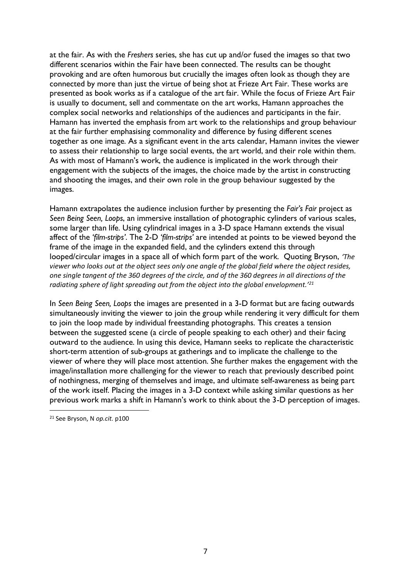at the fair. As with the *Freshers* series, she has cut up and/or fused the images so that two different scenarios within the Fair have been connected. The results can be thought provoking and are often humorous but crucially the images often look as though they are connected by more than just the virtue of being shot at Frieze Art Fair. These works are presented as book works as if a catalogue of the art fair. While the focus of Frieze Art Fair is usually to document, sell and commentate on the art works, Hamann approaches the complex social networks and relationships of the audiences and participants in the fair. Hamann has inverted the emphasis from art work to the relationships and group behaviour at the fair further emphasising commonality and difference by fusing different scenes together as one image. As a significant event in the arts calendar, Hamann invites the viewer to assess their relationship to large social events, the art world, and their role within them. As with most of Hamann's work, the audience is implicated in the work through their engagement with the subjects of the images, the choice made by the artist in constructing and shooting the images, and their own role in the group behaviour suggested by the images.

Hamann extrapolates the audience inclusion further by presenting the *Fair's Fair* project as *Seen Being Seen, Loops*, an immersive installation of photographic cylinders of various scales, some larger than life. Using cylindrical images in a 3-D space Hamann extends the visual affect of the *'film-strips'*. The 2-D *'film-strips'* are intended at points to be viewed beyond the frame of the image in the expanded field, and the cylinders extend this through looped/circular images in a space all of which form part of the work. Quoting Bryson, *'The viewer who looks out at the object sees only one angle of the global field where the object resides, one single tangent of the 360 degrees of the circle, and of the 360 degrees in all directions of the radiating sphere of light spreading out from the object into the global envelopment.'<sup>21</sup>*

In *Seen Being Seen, Loops* the images are presented in a 3-D format but are facing outwards simultaneously inviting the viewer to join the group while rendering it very difficult for them to join the loop made by individual freestanding photographs. This creates a tension between the suggested scene (a circle of people speaking to each other) and their facing outward to the audience. In using this device, Hamann seeks to replicate the characteristic short-term attention of sub-groups at gatherings and to implicate the challenge to the viewer of where they will place most attention. She further makes the engagement with the image/installation more challenging for the viewer to reach that previously described point of nothingness, merging of themselves and image, and ultimate self-awareness as being part of the work itself. Placing the images in a 3-D context while asking similar questions as her previous work marks a shift in Hamann's work to think about the 3-D perception of images.

<sup>21</sup> See Bryson, N *op.cit.* p100